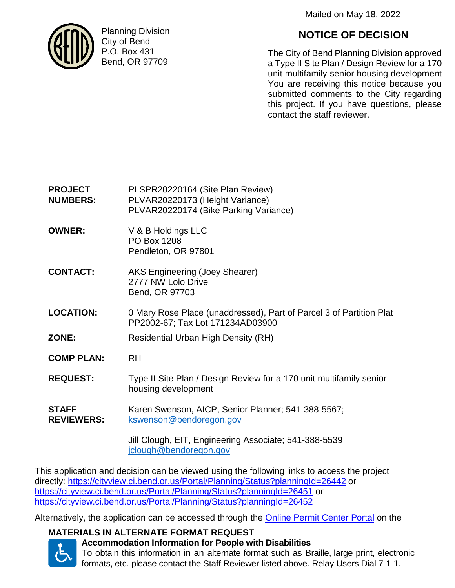Mailed on May 18, 2022



Planning Division City of Bend P.O. Box 431 Bend, OR 97709

**NOTICE OF DECISION**

The City of Bend Planning Division approved a Type II Site Plan / Design Review for a 170 unit multifamily senior housing development You are receiving this notice because you submitted comments to the City regarding this project. If you have questions, please contact the staff reviewer.

| <b>PROJECT</b><br><b>NUMBERS:</b> | PLSPR20220164 (Site Plan Review)<br>PLVAR20220173 (Height Variance)<br>PLVAR20220174 (Bike Parking Variance) |
|-----------------------------------|--------------------------------------------------------------------------------------------------------------|
| <b>OWNER:</b>                     | V & B Holdings LLC<br>PO Box 1208<br>Pendleton, OR 97801                                                     |
| <b>CONTACT:</b>                   | <b>AKS Engineering (Joey Shearer)</b><br>2777 NW Lolo Drive<br>Bend, OR 97703                                |
| <b>LOCATION:</b>                  | 0 Mary Rose Place (unaddressed), Part of Parcel 3 of Partition Plat<br>PP2002-67; Tax Lot 171234AD03900      |
| ZONE:                             | <b>Residential Urban High Density (RH)</b>                                                                   |
| <b>COMP PLAN:</b>                 | <b>RH</b>                                                                                                    |
| <b>REQUEST:</b>                   | Type II Site Plan / Design Review for a 170 unit multifamily senior<br>housing development                   |
| <b>STAFF</b><br><b>REVIEWERS:</b> | Karen Swenson, AICP, Senior Planner; 541-388-5567;<br>kswenson@bendoregon.gov                                |
|                                   | Jill Clough, EIT, Engineering Associate; 541-388-5539                                                        |

[jclough@bendoregon.gov](mailto:jclough@bendoregon.gov)

This application and decision can be viewed using the following links to access the project directly: <https://cityview.ci.bend.or.us/Portal/Planning/Status?planningId=26442> or <https://cityview.ci.bend.or.us/Portal/Planning/Status?planningId=26451> or <https://cityview.ci.bend.or.us/Portal/Planning/Status?planningId=26452>

Alternatively, the application can be accessed through the [Online Permit Center Portal](https://cityview.ci.bend.or.us/Portal/) on the

## **MATERIALS IN ALTERNATE FORMAT REQUEST**



**Accommodation Information for People with Disabilities** To obtain this information in an alternate format such as Braille, large print, electronic formats, etc. please contact the Staff Reviewer listed above. Relay Users Dial 7-1-1.